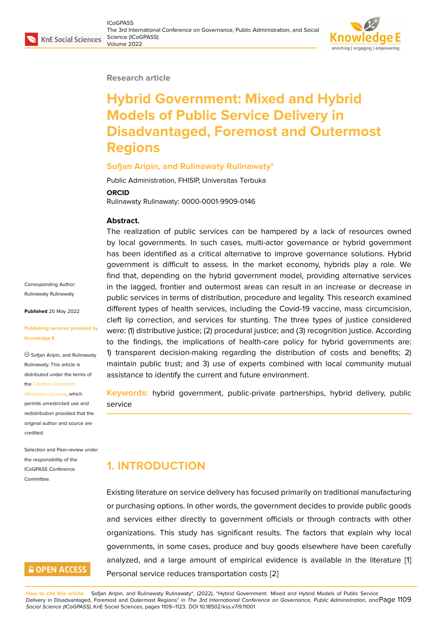#### **Research article**

# **Hybrid Government: Mixed and Hybrid Models of Public Service Delivery in Disadvantaged, Foremost and Outermost Regions**

#### **Sofjan Aripin, and Rulinawaty Rulinawaty\***

Public Administration, FHISIP, Universitas Terbuka

**ORCID**

Rulinawaty Rulinawaty: 0000-0001-9909-0146

#### **Abstract.**

The realization of public services can be hampered by a lack of resources owned by local governments. In such cases, multi-actor governance or hybrid government has been identified as a critical alternative to improve governance solutions. Hybrid government is difficult to assess. In the market economy, hybrids play a role. We find that, depending on the hybrid government model, providing alternative services in the lagged, frontier and outermost areas can result in an increase or decrease in public services in terms of distribution, procedure and legality. This research examined different types of health services, including the Covid-19 vaccine, mass circumcision, cleft lip correction, and services for stunting. The three types of justice considered were: (1) distributive justice; (2) procedural justice; and (3) recognition justice. According to the findings, the implications of health-care policy for hybrid governments are: 1) transparent decision-making regarding the distribution of costs and benefits; 2) maintain public trust; and 3) use of experts combined with local community mutual assistance to identify the current and future environment.

**Keywords:** hybrid government, public-private partnerships, hybrid delivery, public service

# **1. INTRODUCTION**

Existing literature on service delivery has focused primarily on traditional manufacturing or purchasing options. In other words, the government decides to provide public goods and services either directly to government officials or through contracts with other organizations. This study has significant results. The factors that explain why local governments, in some cases, produce and buy goods elsewhere have been carefully analyzed, and a large amount of empirical evidence is available in the literature [1] Personal service reduces transportation costs [2]

**How to cite this article**: Sofjan Aripin, and Rulinawaty Rulinawaty\*, (2022), "Hybrid Government: Mixed and Hybrid Models of Public Service Delivery in Disadvantaged, Foremost and Outermost Regions" in *The 3rd International Conference on Governance, Public Administration, and* Page 11[09](#page-11-0) *Social Science (ICoGPASS)*, KnE Social Sciences, pages 1109–1123. DOI 10.18502/kss.v7i9.11001

Corresponding Author: Rulinawaty Rulinawaty

**Published** 20 May 2022

**Publishing services provided by Knowledge E**

Sofjan Aripin, and Rulinawaty Rulinawaty. This article is distributed under the terms of the Creative Commons

Attribution License, which

permits unrestricted use and redistribution provided that the orig[inal author and sou](https://creativecommons.org/licenses/by/4.0/)rce are [credited.](https://creativecommons.org/licenses/by/4.0/)

Selection and Peer-review under the responsibility of the ICoGPASS Conference **Committee** 

## **GOPEN ACCESS**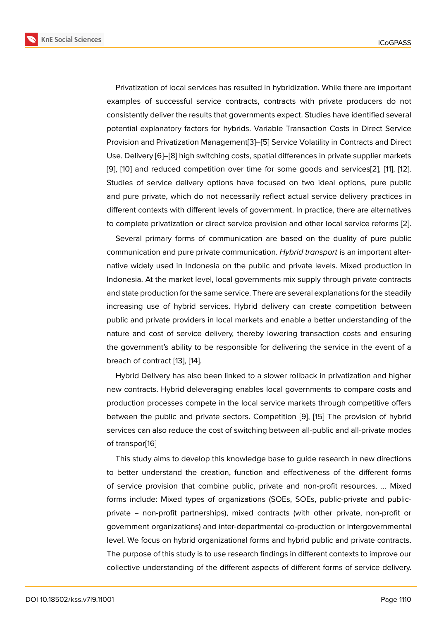Privatization of local services has resulted in hybridization. While there are important examples of successful service contracts, contracts with private producers do not consistently deliver the results that governments expect. Studies have identified several potential explanatory factors for hybrids. Variable Transaction Costs in Direct Service Provision and Privatization Management[3]–[5] Service Volatility in Contracts and Direct Use. Delivery [6]–[8] high switching costs, spatial differences in private supplier markets [9], [10] and reduced competition over time for some goods and services[2], [11], [12]. Studies of service delivery options hav[e](#page-12-0) f[oc](#page-12-1)used on two ideal options, pure public and pure priv[ate](#page-12-2), [w](#page-12-3)hich do not necessarily reflect actual service delivery practices in [dif](#page-12-4)fe[ren](#page-12-5)t contexts with different levels of government. In practice, there are [alt](#page-12-6)e[rna](#page-12-7)ti[ve](#page-12-8)s to complete privatization or direct service provision and other local service reforms [2].

Several primary forms of communication are based on the duality of pure public communication and pure private communication. *Hybrid transport* is an important alternative widely used in Indonesia on the public and private levels. Mixed production [in](#page-12-6) Indonesia. At the market level, local governments mix supply through private contracts and state production for the same service. There are several explanations for the steadily increasing use of hybrid services. Hybrid delivery can create competition between public and private providers in local markets and enable a better understanding of the nature and cost of service delivery, thereby lowering transaction costs and ensuring the government's ability to be responsible for delivering the service in the event of a breach of contract [13], [14].

Hybrid Delivery has also been linked to a slower rollback in privatization and higher new contracts. Hybrid deleveraging enables local governments to compare costs and production process[es](#page-12-9) c[om](#page-13-0)pete in the local service markets through competitive offers between the public and private sectors. Competition [9], [15] The provision of hybrid services can also reduce the cost of switching between all-public and all-private modes of transpor[16]

This study aims to develop this knowledge base to g[ui](#page-12-4)d[e re](#page-13-1)search in new directions to better understand the creation, function and effectiveness of the different forms of service [pro](#page-13-2)vision that combine public, private and non-profit resources. ... Mixed forms include: Mixed types of organizations (SOEs, SOEs, public-private and publicprivate = non-profit partnerships), mixed contracts (with other private, non-profit or government organizations) and inter-departmental co-production or intergovernmental level. We focus on hybrid organizational forms and hybrid public and private contracts. The purpose of this study is to use research findings in different contexts to improve our collective understanding of the different aspects of different forms of service delivery.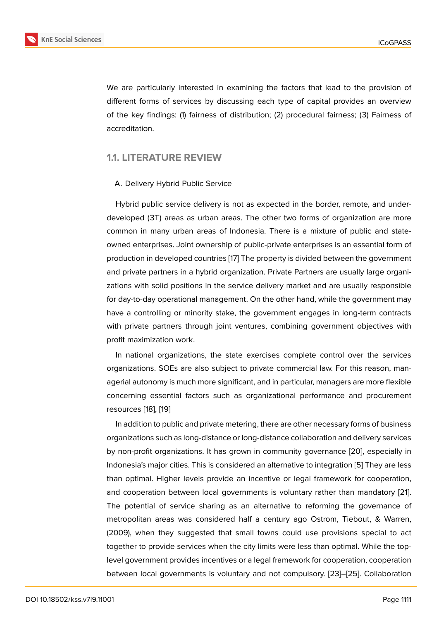We are particularly interested in examining the factors that lead to the provision of different forms of services by discussing each type of capital provides an overview of the key findings: (1) fairness of distribution; (2) procedural fairness; (3) Fairness of accreditation.

#### **1.1. LITERATURE REVIEW**

#### A. Delivery Hybrid Public Service

Hybrid public service delivery is not as expected in the border, remote, and underdeveloped (3T) areas as urban areas. The other two forms of organization are more common in many urban areas of Indonesia. There is a mixture of public and stateowned enterprises. Joint ownership of public-private enterprises is an essential form of production in developed countries [17] The property is divided between the government and private partners in a hybrid organization. Private Partners are usually large organizations with solid positions in the service delivery market and are usually responsible for day-to-day operational manage[me](#page-13-3)nt. On the other hand, while the government may have a controlling or minority stake, the government engages in long-term contracts with private partners through joint ventures, combining government objectives with profit maximization work.

In national organizations, the state exercises complete control over the services organizations. SOEs are also subject to private commercial law. For this reason, managerial autonomy is much more significant, and in particular, managers are more flexible concerning essential factors such as organizational performance and procurement resources [18], [19]

In addition to public and private metering, there are other necessary forms of business organizations such as long-distance or long-distance collaboration and delivery services by non-pro[fit](#page-13-4) o[rga](#page-13-5)nizations. It has grown in community governance [20], especially in Indonesia's major cities. This is considered an alternative to integration [5] They are less than optimal. Higher levels provide an incentive or legal framework for cooperation, and cooperation between local governments is voluntary rather tha[n m](#page-13-6)andatory [21]. The potential of service sharing as an alternative to reforming the [g](#page-12-1)overnance of metropolitan areas was considered half a century ago Ostrom, Tiebout, & Warren, (2009), when they suggested that small towns could use provisions special to [ac](#page-13-7)t together to provide services when the city limits were less than optimal. While the toplevel government provides incentives or a legal framework for cooperation, cooperation between local governments is voluntary and not compulsory. [23]–[25]. Collaboration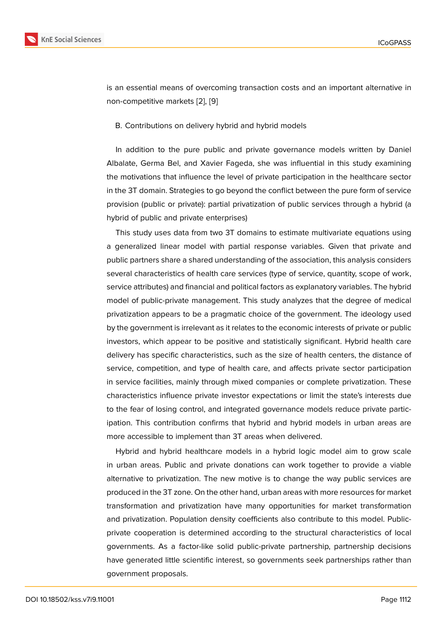is an essential means of overcoming transaction costs and an important alternative in non-competitive markets [2], [9]

#### B. Contributions on delivery hybrid and hybrid models

In addition to the pure public and private governance models written by Daniel Albalate, Germa Bel, and Xavier Fageda, she was influential in this study examining the motivations that influence the level of private participation in the healthcare sector in the 3T domain. Strategies to go beyond the conflict between the pure form of service provision (public or private): partial privatization of public services through a hybrid (a hybrid of public and private enterprises)

This study uses data from two 3T domains to estimate multivariate equations using a generalized linear model with partial response variables. Given that private and public partners share a shared understanding of the association, this analysis considers several characteristics of health care services (type of service, quantity, scope of work, service attributes) and financial and political factors as explanatory variables. The hybrid model of public-private management. This study analyzes that the degree of medical privatization appears to be a pragmatic choice of the government. The ideology used by the government is irrelevant as it relates to the economic interests of private or public investors, which appear to be positive and statistically significant. Hybrid health care delivery has specific characteristics, such as the size of health centers, the distance of service, competition, and type of health care, and affects private sector participation in service facilities, mainly through mixed companies or complete privatization. These characteristics influence private investor expectations or limit the state's interests due to the fear of losing control, and integrated governance models reduce private participation. This contribution confirms that hybrid and hybrid models in urban areas are more accessible to implement than 3T areas when delivered.

Hybrid and hybrid healthcare models in a hybrid logic model aim to grow scale in urban areas. Public and private donations can work together to provide a viable alternative to privatization. The new motive is to change the way public services are produced in the 3T zone. On the other hand, urban areas with more resources for market transformation and privatization have many opportunities for market transformation and privatization. Population density coefficients also contribute to this model. Publicprivate cooperation is determined according to the structural characteristics of local governments. As a factor-like solid public-private partnership, partnership decisions have generated little scientific interest, so governments seek partnerships rather than government proposals.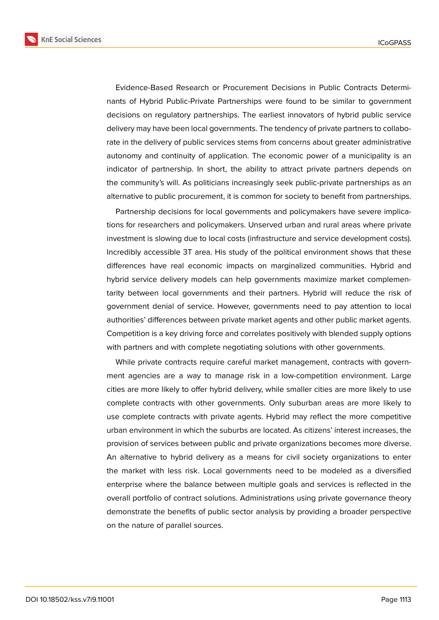**KnE Social Sciences** 



Evidence-Based Research or Procurement Decisions in Public Contracts Determinants of Hybrid Public-Private Partnerships were found to be similar to government decisions on regulatory partnerships. The earliest innovators of hybrid public service delivery may have been local governments. The tendency of private partners to collaborate in the delivery of public services stems from concerns about greater administrative autonomy and continuity of application. The economic power of a municipality is an indicator of partnership. In short, the ability to attract private partners depends on the community's will. As politicians increasingly seek public-private partnerships as an alternative to public procurement, it is common for society to benefit from partnerships.

Partnership decisions for local governments and policymakers have severe implications for researchers and policymakers. Unserved urban and rural areas where private investment is slowing due to local costs (infrastructure and service development costs). Incredibly accessible 3T area. His study of the political environment shows that these differences have real economic impacts on marginalized communities. Hybrid and hybrid service delivery models can help governments maximize market complementarity between local governments and their partners. Hybrid will reduce the risk of government denial of service. However, governments need to pay attention to local authorities' differences between private market agents and other public market agents. Competition is a key driving force and correlates positively with blended supply options with partners and with complete negotiating solutions with other governments.

While private contracts require careful market management, contracts with government agencies are a way to manage risk in a low-competition environment. Large cities are more likely to offer hybrid delivery, while smaller cities are more likely to use complete contracts with other governments. Only suburban areas are more likely to use complete contracts with private agents. Hybrid may reflect the more competitive urban environment in which the suburbs are located. As citizens' interest increases, the provision of services between public and private organizations becomes more diverse. An alternative to hybrid delivery as a means for civil society organizations to enter the market with less risk. Local governments need to be modeled as a diversified enterprise where the balance between multiple goals and services is reflected in the overall portfolio of contract solutions. Administrations using private governance theory demonstrate the benefits of public sector analysis by providing a broader perspective on the nature of parallel sources.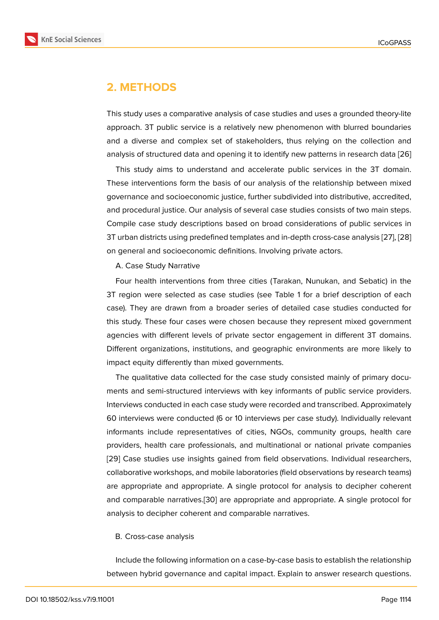### **2. METHODS**

This study uses a comparative analysis of case studies and uses a grounded theory-lite approach. 3T public service is a relatively new phenomenon with blurred boundaries and a diverse and complex set of stakeholders, thus relying on the collection and analysis of structured data and opening it to identify new patterns in research data [26]

This study aims to understand and accelerate public services in the 3T domain. These interventions form the basis of our analysis of the relationship between mixed governance and socioeconomic justice, further subdivided into distributive, accredi[ted,](#page-13-8) and procedural justice. Our analysis of several case studies consists of two main steps. Compile case study descriptions based on broad considerations of public services in 3T urban districts using predefined templates and in-depth cross-case analysis [27], [28] on general and socioeconomic definitions. Involving private actors.

A. Case Study Narrative

Four health interventions from three cities (Tarakan, Nunukan, and Sebati[c\) in](#page-14-0) [the](#page-14-1) 3T region were selected as case studies (see Table 1 for a brief description of each case). They are drawn from a broader series of detailed case studies conducted for this study. These four cases were chosen because they represent mixed government agencies with different levels of private sector engagement in different 3T domains. Different organizations, institutions, and geographic environments are more likely to impact equity differently than mixed governments.

The qualitative data collected for the case study consisted mainly of primary documents and semi-structured interviews with key informants of public service providers. Interviews conducted in each case study were recorded and transcribed. Approximately 60 interviews were conducted (6 or 10 interviews per case study). Individually relevant informants include representatives of cities, NGOs, community groups, health care providers, health care professionals, and multinational or national private companies [29] Case studies use insights gained from field observations. Individual researchers, collaborative workshops, and mobile laboratories (field observations by research teams) are appropriate and appropriate. A single protocol for analysis to decipher coherent [and](#page-14-2) comparable narratives.[30] are appropriate and appropriate. A single protocol for analysis to decipher coherent and comparable narratives.

#### B. Cross-case analysis

Include the following information on a case-by-case basis to establish the relationship between hybrid governance and capital impact. Explain to answer research questions.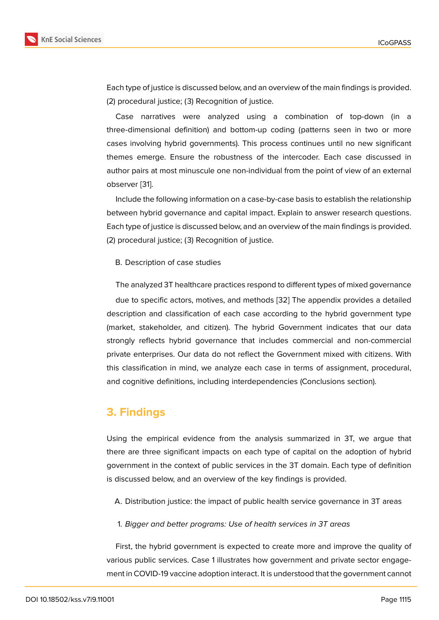Each type of justice is discussed below, and an overview of the main findings is provided. (2) procedural justice; (3) Recognition of justice.

Case narratives were analyzed using a combination of top-down (in a three-dimensional definition) and bottom-up coding (patterns seen in two or more cases involving hybrid governments). This process continues until no new significant themes emerge. Ensure the robustness of the intercoder. Each case discussed in author pairs at most minuscule one non-individual from the point of view of an external observer [31].

Include the following information on a case-by-case basis to establish the relationship between hybrid governance and capital impact. Explain to answer research questions. Each type [of](#page-14-3) justice is discussed below, and an overview of the main findings is provided. (2) procedural justice; (3) Recognition of justice.

#### B. Description of case studies

The analyzed 3T healthcare practices respond to different types of mixed governance due to specific actors, motives, and methods [32] The appendix provides a detailed description and classification of each case according to the hybrid government type (market, stakeholder, and citizen). The hybrid Government indicates that our data strongly reflects hybrid governance that inclu[des](#page-14-4) commercial and non-commercial private enterprises. Our data do not reflect the Government mixed with citizens. With this classification in mind, we analyze each case in terms of assignment, procedural, and cognitive definitions, including interdependencies (Conclusions section).

# **3. Findings**

Using the empirical evidence from the analysis summarized in 3T, we argue that there are three significant impacts on each type of capital on the adoption of hybrid government in the context of public services in the 3T domain. Each type of definition is discussed below, and an overview of the key findings is provided.

A. Distribution justice: the impact of public health service governance in 3T areas

1. *Bigger and better programs: Use of health services in 3T areas*

First, the hybrid government is expected to create more and improve the quality of various public services. Case 1 illustrates how government and private sector engagement in COVID-19 vaccine adoption interact. It is understood that the government cannot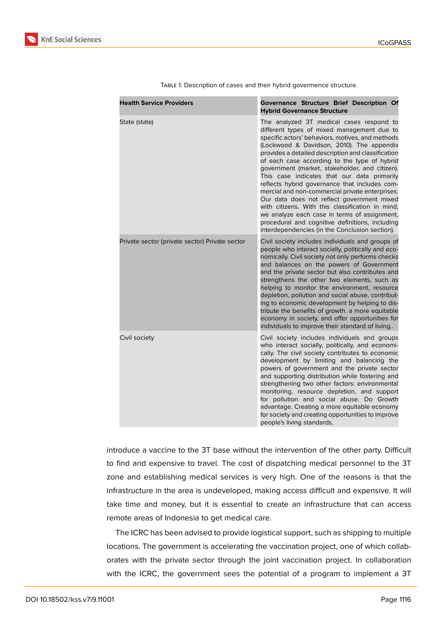

| <b>Health Service Providers</b>                | Governance Structure Brief Description Of<br><b>Hybrid Governance Structure</b>                                                                                                                                                                                                                                                                                                                                                                                                                                                                                                                                                                                                                                                                           |
|------------------------------------------------|-----------------------------------------------------------------------------------------------------------------------------------------------------------------------------------------------------------------------------------------------------------------------------------------------------------------------------------------------------------------------------------------------------------------------------------------------------------------------------------------------------------------------------------------------------------------------------------------------------------------------------------------------------------------------------------------------------------------------------------------------------------|
| State (state)                                  | The analyzed 3T medical cases respond to<br>different types of mixed management due to<br>specific actors' behaviors, motives, and methods<br>(Lockwood & Davidson, 2010). The appendix<br>provides a detailed description and classification<br>of each case according to the type of hybrid<br>government (market, stakeholder, and citizen).<br>This case indicates that our data primarily<br>reflects hybrid governance that includes com-<br>mercial and non-commercial private enterprises.<br>Our data does not reflect government mixed<br>with citizens. With this classification in mind,<br>we analyze each case in terms of assignment,<br>procedural and cognitive definitions, including<br>interdependencies (in the Conclusion section). |
| Private sector (private sector) Private sector | Civil society includes individuals and groups of<br>people who interact socially, politically and eco-<br>nomically. Civil society not only performs checks<br>and balances on the powers of Government<br>and the private sector but also contributes and<br>strengthens the other two elements, such as<br>helping to monitor the environment, resource<br>depletion, pollution and social abuse, contribut-<br>ing to economic development by helping to dis-<br>tribute the benefits of growth. a more equitable<br>economy in society, and offer opportunities for<br>individuals to improve their standard of living                                                                                                                                |
| Civil society                                  | Civil society includes individuals and groups<br>who interact socially, politically, and economi-<br>cally. The civil society contributes to economic<br>development by limiting and balancing the<br>powers of government and the private sector<br>and supporting distribution while fostering and<br>strengthening two other factors: environmental<br>monitoring, resource depletion, and support<br>for pollution and social abuse. Do Growth<br>advantage. Creating a more equitable economy<br>for society and creating opportunities to improve<br>people's living standards.                                                                                                                                                                     |

Table 1: Description of cases and their hybrid govermence structure.

introduce a vaccine to the 3T base without the intervention of the other party. Difficult to find and expensive to travel. The cost of dispatching medical personnel to the 3T zone and establishing medical services is very high. One of the reasons is that the infrastructure in the area is undeveloped, making access difficult and expensive. It will take time and money, but it is essential to create an infrastructure that can access remote areas of Indonesia to get medical care.

The ICRC has been advised to provide logistical support, such as shipping to multiple locations. The government is accelerating the vaccination project, one of which collaborates with the private sector through the joint vaccination project. In collaboration with the ICRC, the government sees the potential of a program to implement a 3T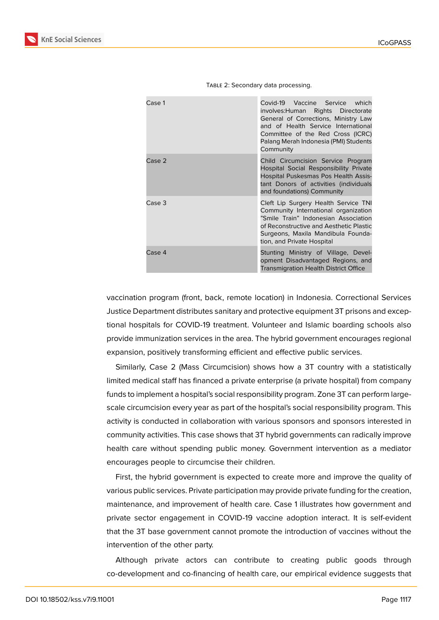| Case 1 | Covid-19 Vaccine Service which<br>involves: Human Rights Directorate<br>General of Corrections, Ministry Law<br>and of Health Service International<br>Committee of the Red Cross (ICRC)<br>Palang Merah Indonesia (PMI) Students<br>Community |
|--------|------------------------------------------------------------------------------------------------------------------------------------------------------------------------------------------------------------------------------------------------|
| Case 2 | Child Circumcision Service Program<br>Hospital Social Responsibility Private<br>Hospital Puskesmas Pos Health Assis-<br>tant Donors of activities (individuals<br>and foundations) Community                                                   |
| Case 3 | Cleft Lip Surgery Health Service TNI<br>Community International organization<br>"Smile Train" Indonesian Association<br>of Reconstructive and Aesthetic Plastic<br>Surgeons, Maxila Mandibula Founda-<br>tion, and Private Hospital            |
| Case 4 | Stunting Ministry of Village, Devel-<br>opment Disadvantaged Regions, and<br><b>Transmigration Health District Office</b>                                                                                                                      |

TABLE 2: Secondary data processing.

vaccination program (front, back, remote location) in Indonesia. Correctional Services Justice Department distributes sanitary and protective equipment 3T prisons and exceptional hospitals for COVID-19 treatment. Volunteer and Islamic boarding schools also provide immunization services in the area. The hybrid government encourages regional expansion, positively transforming efficient and effective public services.

Similarly, Case 2 (Mass Circumcision) shows how a 3T country with a statistically limited medical staff has financed a private enterprise (a private hospital) from company funds to implement a hospital's social responsibility program. Zone 3T can perform largescale circumcision every year as part of the hospital's social responsibility program. This activity is conducted in collaboration with various sponsors and sponsors interested in community activities. This case shows that 3T hybrid governments can radically improve health care without spending public money. Government intervention as a mediator encourages people to circumcise their children.

First, the hybrid government is expected to create more and improve the quality of various public services. Private participation may provide private funding for the creation, maintenance, and improvement of health care. Case 1 illustrates how government and private sector engagement in COVID-19 vaccine adoption interact. It is self-evident that the 3T base government cannot promote the introduction of vaccines without the intervention of the other party.

Although private actors can contribute to creating public goods through co-development and co-financing of health care, our empirical evidence suggests that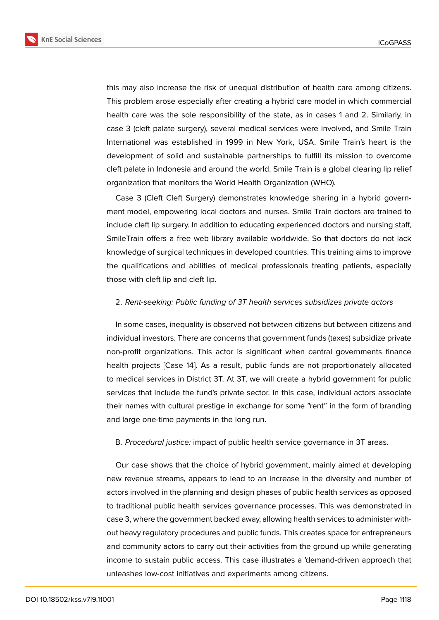**KnE Social Sciences** 



this may also increase the risk of unequal distribution of health care among citizens. This problem arose especially after creating a hybrid care model in which commercial health care was the sole responsibility of the state, as in cases 1 and 2. Similarly, in case 3 (cleft palate surgery), several medical services were involved, and Smile Train International was established in 1999 in New York, USA. Smile Train's heart is the development of solid and sustainable partnerships to fulfill its mission to overcome cleft palate in Indonesia and around the world. Smile Train is a global clearing lip relief

organization that monitors the World Health Organization (WHO).

Case 3 (Cleft Cleft Surgery) demonstrates knowledge sharing in a hybrid government model, empowering local doctors and nurses. Smile Train doctors are trained to include cleft lip surgery. In addition to educating experienced doctors and nursing staff, SmileTrain offers a free web library available worldwide. So that doctors do not lack knowledge of surgical techniques in developed countries. This training aims to improve the qualifications and abilities of medical professionals treating patients, especially those with cleft lip and cleft lip.

#### 2. *Rent-seeking: Public funding of 3T health services subsidizes private actors*

In some cases, inequality is observed not between citizens but between citizens and individual investors. There are concerns that government funds (taxes) subsidize private non-profit organizations. This actor is significant when central governments finance health projects [Case 14]. As a result, public funds are not proportionately allocated to medical services in District 3T. At 3T, we will create a hybrid government for public services that include the fund's private sector. In this case, individual actors associate their names with cultural prestige in exchange for some "rent" in the form of branding and large one-time payments in the long run.

#### B. *Procedural justice:* impact of public health service governance in 3T areas.

Our case shows that the choice of hybrid government, mainly aimed at developing new revenue streams, appears to lead to an increase in the diversity and number of actors involved in the planning and design phases of public health services as opposed to traditional public health services governance processes. This was demonstrated in case 3, where the government backed away, allowing health services to administer without heavy regulatory procedures and public funds. This creates space for entrepreneurs and community actors to carry out their activities from the ground up while generating income to sustain public access. This case illustrates a 'demand-driven approach that unleashes low-cost initiatives and experiments among citizens.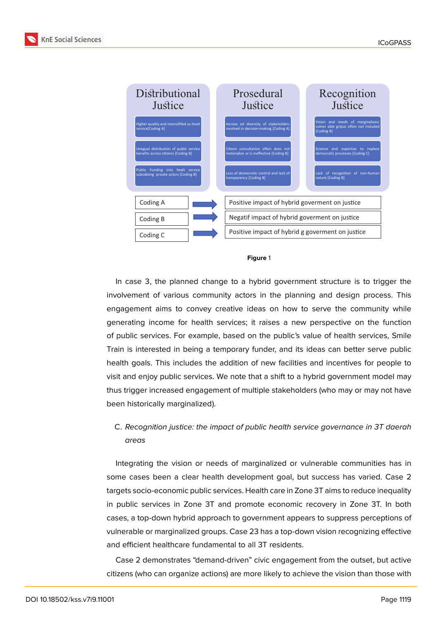



#### **Figure** 1

In case 3, the planned change to a hybrid government structure is to trigger the involvement of various community actors in the planning and design process. This engagement aims to convey creative ideas on how to serve the community while generating income for health services; it raises a new perspective on the function of public services. For example, based on the public's value of health services, Smile Train is interested in being a temporary funder, and its ideas can better serve public health goals. This includes the addition of new facilities and incentives for people to visit and enjoy public services. We note that a shift to a hybrid government model may thus trigger increased engagement of multiple stakeholders (who may or may not have been historically marginalized).

### C. *Recognition justice: the impact of public health service governance in 3T daerah areas*

Integrating the vision or needs of marginalized or vulnerable communities has in some cases been a clear health development goal, but success has varied. Case 2 targets socio-economic public services. Health care in Zone 3T aims to reduce inequality in public services in Zone 3T and promote economic recovery in Zone 3T. In both cases, a top-down hybrid approach to government appears to suppress perceptions of vulnerable or marginalized groups. Case 23 has a top-down vision recognizing effective and efficient healthcare fundamental to all 3T residents.

Case 2 demonstrates "demand-driven" civic engagement from the outset, but active citizens (who can organize actions) are more likely to achieve the vision than those with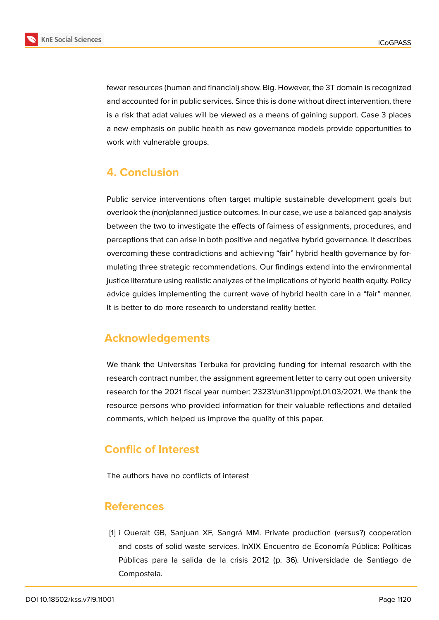

fewer resources (human and financial) show. Big. However, the 3T domain is recognized and accounted for in public services. Since this is done without direct intervention, there is a risk that adat values will be viewed as a means of gaining support. Case 3 places a new emphasis on public health as new governance models provide opportunities to work with vulnerable groups.

# **4. Conclusion**

Public service interventions often target multiple sustainable development goals but overlook the (non)planned justice outcomes. In our case, we use a balanced gap analysis between the two to investigate the effects of fairness of assignments, procedures, and perceptions that can arise in both positive and negative hybrid governance. It describes overcoming these contradictions and achieving "fair" hybrid health governance by formulating three strategic recommendations. Our findings extend into the environmental justice literature using realistic analyzes of the implications of hybrid health equity. Policy advice guides implementing the current wave of hybrid health care in a "fair" manner. It is better to do more research to understand reality better.

# **Acknowledgements**

We thank the Universitas Terbuka for providing funding for internal research with the research contract number, the assignment agreement letter to carry out open university research for the 2021 fiscal year number: 23231/un31.lppm/pt.01.03/2021. We thank the resource persons who provided information for their valuable reflections and detailed comments, which helped us improve the quality of this paper.

# **Conflic of Interest**

The authors have no conflicts of interest

### **References**

<span id="page-11-0"></span>[1] i Queralt GB, Sanjuan XF, Sangrá MM. Private production (versus?) cooperation and costs of solid waste services. InXIX Encuentro de Economía Pública: Políticas Públicas para la salida de la crisis 2012 (p. 36). Universidade de Santiago de Compostela.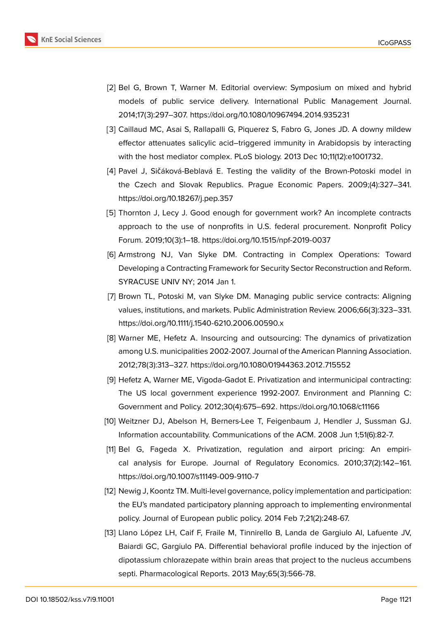

- <span id="page-12-6"></span>[2] Bel G, Brown T, Warner M. Editorial overview: Symposium on mixed and hybrid models of public service delivery. International Public Management Journal. 2014;17(3):297–307. https://doi.org/10.1080/10967494.2014.935231
- <span id="page-12-0"></span>[3] Caillaud MC, Asai S, Rallapalli G, Piquerez S, Fabro G, Jones JD. A downy mildew effector attenuates salicylic acid–triggered immunity in Arabidopsis by interacting with the host mediator complex. PLoS biology. 2013 Dec 10;11(12):e1001732.
- [4] Pavel J, Sičáková-Beblavá E. Testing the validity of the Brown-Potoski model in the Czech and Slovak Republics. Prague Economic Papers. 2009;(4):327–341. https://doi.org/10.18267/j.pep.357
- <span id="page-12-1"></span>[5] Thornton J, Lecy J. Good enough for government work? An incomplete contracts approach to the use of nonprofits in U.S. federal procurement. Nonprofit Policy Forum. 2019;10(3):1–18. https://doi.org/10.1515/npf-2019-0037
- <span id="page-12-2"></span>[6] Armstrong NJ, Van Slyke DM. Contracting in Complex Operations: Toward Developing a Contracting Framework for Security Sector Reconstruction and Reform. SYRACUSE UNIV NY; 2014 Jan 1.
- [7] Brown TL, Potoski M, van Slyke DM. Managing public service contracts: Aligning values, institutions, and markets. Public Administration Review. 2006;66(3):323–331. https://doi.org/10.1111/j.1540-6210.2006.00590.x
- <span id="page-12-3"></span>[8] Warner ME, Hefetz A. Insourcing and outsourcing: The dynamics of privatization among U.S. municipalities 2002-2007. Journal of the American Planning Association. 2012;78(3):313–327. https://doi.org/10.1080/01944363.2012.715552
- <span id="page-12-4"></span>[9] Hefetz A, Warner ME, Vigoda-Gadot E. Privatization and intermunicipal contracting: The US local government experience 1992-2007. Environment and Planning C: Government and Policy. 2012;30(4):675–692. https://doi.org/10.1068/c11166
- <span id="page-12-5"></span>[10] Weitzner DJ, Abelson H, Berners-Lee T, Feigenbaum J, Hendler J, Sussman GJ. Information accountability. Communications of the ACM. 2008 Jun 1;51(6):82-7.
- <span id="page-12-7"></span>[11] Bel G, Fageda X. Privatization, regulation and airport pricing: An empirical analysis for Europe. Journal of Regulatory Economics. 2010;37(2):142–161. https://doi.org/10.1007/s11149-009-9110-7
- <span id="page-12-8"></span>[12] Newig J, Koontz TM. Multi-level governance, policy implementation and participation: the EU's mandated participatory planning approach to implementing environmental policy. Journal of European public policy. 2014 Feb 7;21(2):248-67.
- <span id="page-12-9"></span>[13] Llano López LH, Caif F, Fraile M, Tinnirello B, Landa de Gargiulo AI, Lafuente JV, Baiardi GC, Gargiulo PA. Differential behavioral profile induced by the injection of dipotassium chlorazepate within brain areas that project to the nucleus accumbens septi. Pharmacological Reports. 2013 May;65(3):566-78.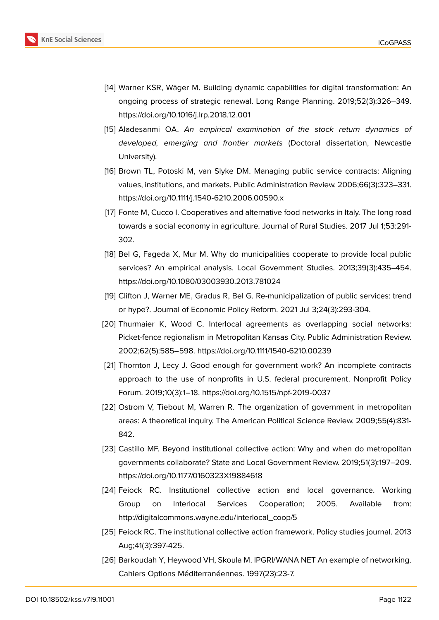

- <span id="page-13-0"></span>[14] Warner KSR, Wäger M. Building dynamic capabilities for digital transformation: An ongoing process of strategic renewal. Long Range Planning. 2019;52(3):326–349. https://doi.org/10.1016/j.lrp.2018.12.001
- <span id="page-13-1"></span>[15] Aladesanmi OA. *An empirical examination of the stock return dynamics of developed, emerging and frontier markets* (Doctoral dissertation, Newcastle University).
- <span id="page-13-2"></span>[16] Brown TL, Potoski M, van Slyke DM. Managing public service contracts: Aligning values, institutions, and markets. Public Administration Review. 2006;66(3):323–331. https://doi.org/10.1111/j.1540-6210.2006.00590.x
- <span id="page-13-3"></span>[17] Fonte M, Cucco I. Cooperatives and alternative food networks in Italy. The long road towards a social economy in agriculture. Journal of Rural Studies. 2017 Jul 1;53:291- 302.
- <span id="page-13-4"></span>[18] Bel G, Fageda X, Mur M. Why do municipalities cooperate to provide local public services? An empirical analysis. Local Government Studies. 2013;39(3):435–454. https://doi.org/10.1080/03003930.2013.781024
- <span id="page-13-5"></span>[19] Clifton J, Warner ME, Gradus R, Bel G. Re-municipalization of public services: trend or hype?. Journal of Economic Policy Reform. 2021 Jul 3;24(3):293-304.
- <span id="page-13-6"></span>[20] Thurmaier K, Wood C. Interlocal agreements as overlapping social networks: Picket-fence regionalism in Metropolitan Kansas City. Public Administration Review. 2002;62(5):585–598. https://doi.org/10.1111/1540-6210.00239
- <span id="page-13-7"></span>[21] Thornton J, Lecy J. Good enough for government work? An incomplete contracts approach to the use of nonprofits in U.S. federal procurement. Nonprofit Policy Forum. 2019;10(3):1–18. https://doi.org/10.1515/npf-2019-0037
- [22] Ostrom V, Tiebout M, Warren R. The organization of government in metropolitan areas: A theoretical inquiry. The American Political Science Review. 2009;55(4):831- 842.
- [23] Castillo MF. Beyond institutional collective action: Why and when do metropolitan governments collaborate? State and Local Government Review. 2019;51(3):197–209. https://doi.org/10.1177/0160323X19884618
- [24] Feiock RC. Institutional collective action and local governance. Working Group on Interlocal Services Cooperation; 2005. Available from: http://digitalcommons.wayne.edu/interlocal\_coop/5
- [25] Feiock RC. The institutional collective action framework. Policy studies journal. 2013 Aug;41(3):397-425.
- <span id="page-13-8"></span>[26] Barkoudah Y, Heywood VH, Skoula M. IPGRI/WANA NET An example of networking. Cahiers Options Méditerranéennes. 1997(23):23-7.